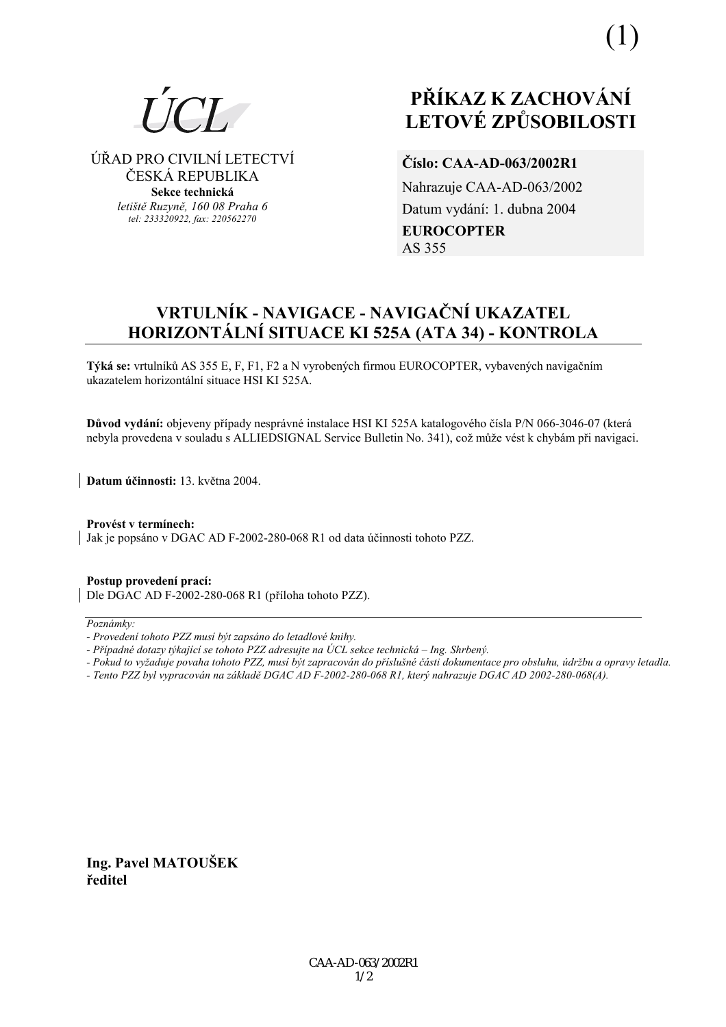

⁄ŘAD PRO CIVILNÕ LETECTVÕ ČESKÁ REPUBLIKA **Sekce technická** *letiötě Ruzyně, 160 08 Praha 6 tel: 233320922, fax: 220562270*

# **PŘÍKAZ K ZACHOVÁNÍ LETOV… ZPŮSOBILOSTI**

## **ČÌslo: CAA-AD-063/2002R1**

Nahrazuje CAA-AD-063/2002 Datum vydání: 1. dubna 2004 **EUROCOPTER**  AS 355

# **VRTULNÕK - NAVIGACE - NAVIGAČNÕ UKAZATEL HORIZONT£LNÕ SITUACE KI 525A (ATA 34) - KONTROLA**

Týká se: vrtulníků AS 355 E, F, F1, F2 a N vyrobených firmou EUROCOPTER, vybavených navigačním ukazatelem horizontální situace HSI KI 525A.

Důvod vydání: objeveny případy nesprávné instalace HSI KI 525A katalogového čísla P/N 066-3046-07 (která nebyla provedena v souladu s ALLIEDSIGNAL Service Bulletin No. 341), což může vést k chybám při navigaci.

**Datum ˙činnosti:** 13. května 2004.

Provést v termínech: Jak je popsáno v DGAC AD F-2002-280-068 R1 od data účinnosti tohoto PZZ.

**Postup provedenÌ pracÌ:**  Dle DGAC AD F-2002-280-068 R1 (příloha tohoto PZZ).

#### $Poznámkv:$

- *Pokud to vyûaduje povaha tohoto PZZ, musÌ b˝t zapracov·n do přÌsluönÈ č·sti dokumentace pro obsluhu, ˙drûbu a opravy letadla.*
- *Tento PZZ byl vypracov·n na z·kladě DGAC AD F-2002-280-068 R1, kter˝ nahrazuje DGAC AD 2002-280-068(A).*

**Ing. Pavel MATOUäEK ředitel**

*<sup>-</sup> ProvedenÌ tohoto PZZ musÌ b˝t zaps·no do letadlovÈ knihy.* 

*<sup>-</sup> Případné dotazy týkající se tohoto PZZ adresujte na ÚCL sekce technická – Ing. Shrbený.*